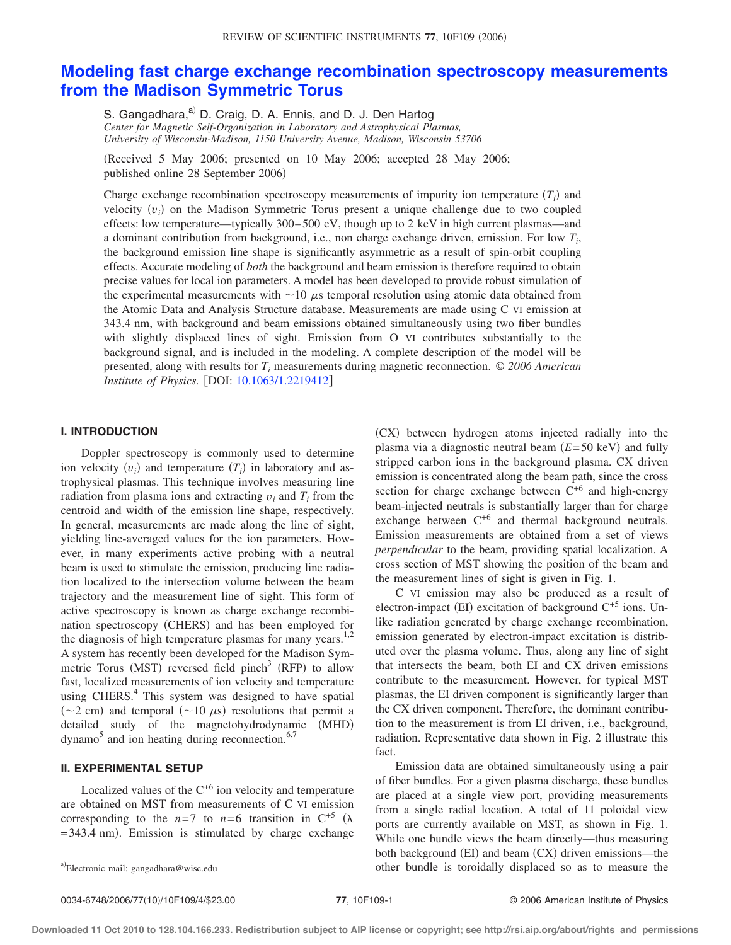# **[Modeling fast charge exchange recombination spectroscopy measurements](http://dx.doi.org/10.1063/1.2219412) [from the Madison Symmetric Torus](http://dx.doi.org/10.1063/1.2219412)**

S. Gangadhara,<sup>a)</sup> D. Craig, D. A. Ennis, and D. J. Den Hartog *Center for Magnetic Self-Organization in Laboratory and Astrophysical Plasmas, University of Wisconsin-Madison, 1150 University Avenue, Madison, Wisconsin 53706*

!Received 5 May 2006; presented on 10 May 2006; accepted 28 May 2006; published online 28 September 2006)

Charge exchange recombination spectroscopy measurements of impurity ion temperature  $(T_i)$  and velocity  $(v_i)$  on the Madison Symmetric Torus present a unique challenge due to two coupled effects: low temperature—typically 300– 500 eV, though up to 2 keV in high current plasmas—and a dominant contribution from background, i.e., non charge exchange driven, emission. For low  $T_i$ , the background emission line shape is significantly asymmetric as a result of spin-orbit coupling effects. Accurate modeling of *both* the background and beam emission is therefore required to obtain precise values for local ion parameters. A model has been developed to provide robust simulation of the experimental measurements with  $\sim$  10  $\mu$ s temporal resolution using atomic data obtained from the Atomic Data and Analysis Structure database. Measurements are made using C VI emission at 343.4 nm, with background and beam emissions obtained simultaneously using two fiber bundles with slightly displaced lines of sight. Emission from O VI contributes substantially to the background signal, and is included in the modeling. A complete description of the model will be presented, along with results for *Ti* measurements during magnetic reconnection. *© 2006 American Institute of Physics.* [DOI: [10.1063/1.2219412](http://dx.doi.org/10.1063/1.2219412)]

## **I. INTRODUCTION**

Doppler spectroscopy is commonly used to determine ion velocity  $(v_i)$  and temperature  $(T_i)$  in laboratory and astrophysical plasmas. This technique involves measuring line radiation from plasma ions and extracting  $v_i$  and  $T_i$  from the centroid and width of the emission line shape, respectively. In general, measurements are made along the line of sight, yielding line-averaged values for the ion parameters. However, in many experiments active probing with a neutral beam is used to stimulate the emission, producing line radiation localized to the intersection volume between the beam trajectory and the measurement line of sight. This form of active spectroscopy is known as charge exchange recombination spectroscopy (CHERS) and has been employed for the diagnosis of high temperature plasmas for many years.<sup>1,2</sup> A system has recently been developed for the Madison Symmetric Torus (MST) reversed field pinch<sup>3</sup> (RFP) to allow fast, localized measurements of ion velocity and temperature using CHERS. $4$  This system was designed to have spatial  $({\sim}2$  cm) and temporal  $({\sim}10 \mu s)$  resolutions that permit a detailed study of the magnetohydrodynamic (MHD)  $d$ ynamo<sup>5</sup> and ion heating during reconnection.<sup>6,7</sup>

## **II. EXPERIMENTAL SETUP**

Localized values of the  $C^{+6}$  ion velocity and temperature are obtained on MST from measurements of C VI emission corresponding to the  $n=7$  to  $n=6$  transition in C<sup>+5</sup> ( $\lambda$  $= 343.4$  nm). Emission is stimulated by charge exchange !CX" between hydrogen atoms injected radially into the plasma via a diagnostic neutral beam  $(E=50 \text{ keV})$  and fully stripped carbon ions in the background plasma. CX driven emission is concentrated along the beam path, since the cross section for charge exchange between  $C^{+6}$  and high-energy beam-injected neutrals is substantially larger than for charge exchange between  $C^{+6}$  and thermal background neutrals. Emission measurements are obtained from a set of views *perpendicular* to the beam, providing spatial localization. A cross section of MST showing the position of the beam and the measurement lines of sight is given in Fig. 1.

C VI emission may also be produced as a result of electron-impact (EI) excitation of background  $C^{+5}$  ions. Unlike radiation generated by charge exchange recombination, emission generated by electron-impact excitation is distributed over the plasma volume. Thus, along any line of sight that intersects the beam, both EI and CX driven emissions contribute to the measurement. However, for typical MST plasmas, the EI driven component is significantly larger than the CX driven component. Therefore, the dominant contribution to the measurement is from EI driven, i.e., background, radiation. Representative data shown in Fig. 2 illustrate this fact.

Emission data are obtained simultaneously using a pair of fiber bundles. For a given plasma discharge, these bundles are placed at a single view port, providing measurements from a single radial location. A total of 11 poloidal view ports are currently available on MST, as shown in Fig. 1. While one bundle views the beam directly—thus measuring both background  $(EI)$  and beam  $(CX)$  driven emissions—the other bundle is toroidally displaced so as to measure the

a)Electronic mail: gangadhara@wisc.edu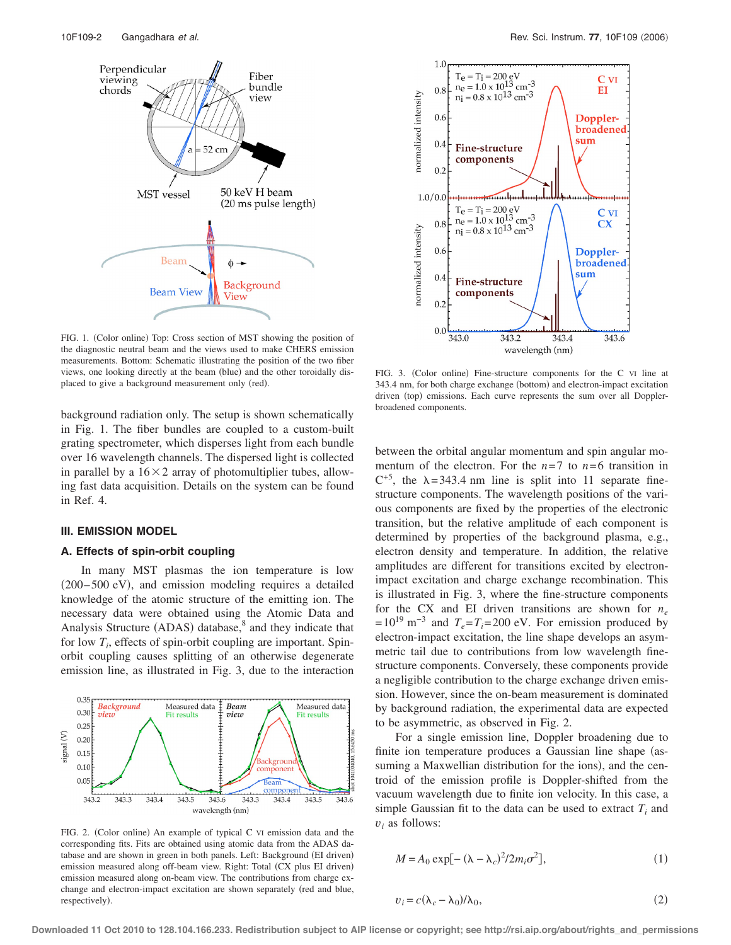

FIG. 1. (Color online) Top: Cross section of MST showing the position of the diagnostic neutral beam and the views used to make CHERS emission measurements. Bottom: Schematic illustrating the position of the two fiber views, one looking directly at the beam (blue) and the other toroidally displaced to give a background measurement only (red).

background radiation only. The setup is shown schematically in Fig. 1. The fiber bundles are coupled to a custom-built grating spectrometer, which disperses light from each bundle over 16 wavelength channels. The dispersed light is collected in parallel by a  $16 \times 2$  array of photomultiplier tubes, allowing fast data acquisition. Details on the system can be found in Ref. 4.

## **III. EMISSION MODEL**

#### **A. Effects of spin-orbit coupling**

In many MST plasmas the ion temperature is low  $(200 - 500 \text{ eV})$ , and emission modeling requires a detailed knowledge of the atomic structure of the emitting ion. The necessary data were obtained using the Atomic Data and Analysis Structure (ADAS) database,<sup>8</sup> and they indicate that for low  $T_i$ , effects of spin-orbit coupling are important. Spinorbit coupling causes splitting of an otherwise degenerate emission line, as illustrated in Fig. 3, due to the interaction



FIG. 2. (Color online) An example of typical C VI emission data and the corresponding fits. Fits are obtained using atomic data from the ADAS database and are shown in green in both panels. Left: Background (EI driven) emission measured along off-beam view. Right: Total (CX plus EI driven) emission measured along on-beam view. The contributions from charge exchange and electron-impact excitation are shown separately (red and blue, respectively).



FIG. 3. (Color online) Fine-structure components for the C VI line at 343.4 nm, for both charge exchange (bottom) and electron-impact excitation driven (top) emissions. Each curve represents the sum over all Dopplerbroadened components.

between the orbital angular momentum and spin angular momentum of the electron. For the  $n=7$  to  $n=6$  transition in  $C^{+5}$ , the  $\lambda = 343.4$  nm line is split into 11 separate finestructure components. The wavelength positions of the various components are fixed by the properties of the electronic transition, but the relative amplitude of each component is determined by properties of the background plasma, e.g., electron density and temperature. In addition, the relative amplitudes are different for transitions excited by electronimpact excitation and charge exchange recombination. This is illustrated in Fig. 3, where the fine-structure components for the CX and EI driven transitions are shown for  $n_e$  $= 10^{19}$  m<sup>-3</sup> and  $T_e = T_i = 200$  eV. For emission produced by electron-impact excitation, the line shape develops an asymmetric tail due to contributions from low wavelength finestructure components. Conversely, these components provide a negligible contribution to the charge exchange driven emission. However, since the on-beam measurement is dominated by background radiation, the experimental data are expected to be asymmetric, as observed in Fig. 2.

For a single emission line, Doppler broadening due to finite ion temperature produces a Gaussian line shape (assuming a Maxwellian distribution for the ions), and the centroid of the emission profile is Doppler-shifted from the vacuum wavelength due to finite ion velocity. In this case, a simple Gaussian fit to the data can be used to extract  $T_i$  and  $v_i$  as follows:

$$
M = A_0 \exp[-(\lambda - \lambda_c)^2 / 2m_i \sigma^2],\tag{1}
$$

$$
v_i = c(\lambda_c - \lambda_0)/\lambda_0,\tag{2}
$$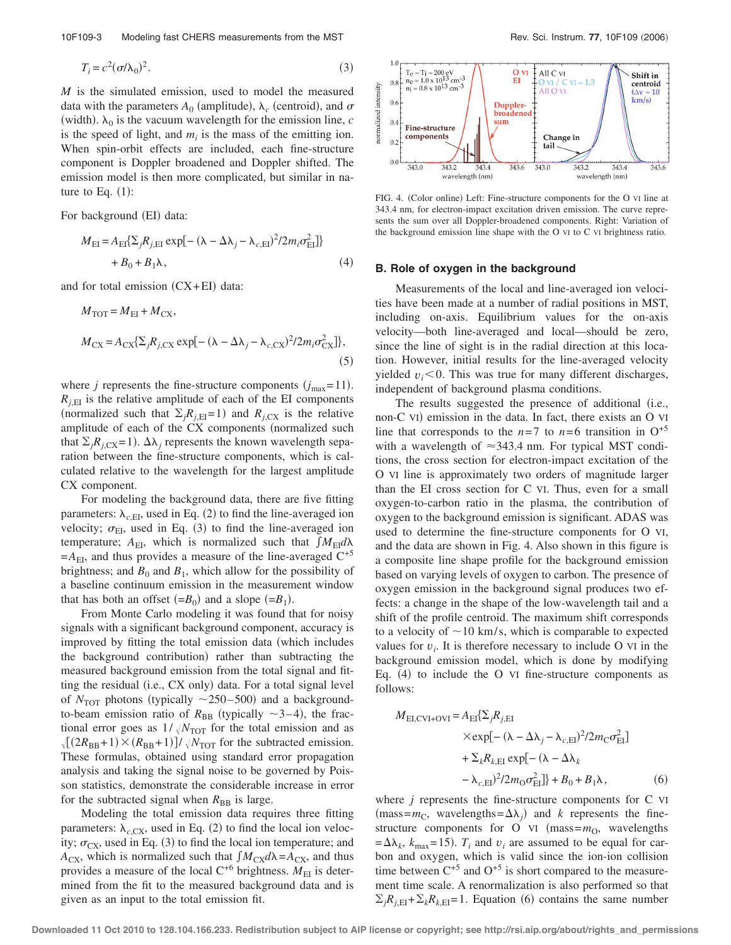10F109-3 Modeling fast CHERS measurements from the MST Rev. Sci. Instrum. **77**, 10F109 (2006)

$$
T_i = c^2 (\sigma/\lambda_0)^2. \tag{3}
$$

*M* is the simulated emission, used to model the measured data with the parameters  $A_0$  (amplitude),  $\lambda_c$  (centroid), and  $\sigma$ (width).  $\lambda_0$  is the vacuum wavelength for the emission line, *c* is the speed of light, and  $m_i$  is the mass of the emitting ion. When spin-orbit effects are included, each fine-structure component is Doppler broadened and Doppler shifted. The emission model is then more complicated, but similar in nature to Eq.  $(1)$ :

For background (EI) data:

$$
M_{\text{EI}} = A_{\text{EI}} \{ \sum_{j} R_{j,\text{EI}} \exp[-(\lambda - \Delta \lambda_j - \lambda_{c,\text{EI}})^2 / 2m_i \sigma_{\text{EI}}^2] \} + B_0 + B_1 \lambda, \tag{4}
$$

and for total emission  $(CX+EI)$  data:

$$
M_{\text{TOT}} = M_{\text{EI}} + M_{\text{CX}},
$$
  

$$
M_{\text{CX}} = A_{\text{CX}} \{\Sigma_j R_{j,\text{CX}} \exp[-(\lambda - \Delta \lambda_j - \lambda_{c,\text{CX}})^2 / 2m_i \sigma_{\text{CX}}^2]\},
$$
  
(5)

where *j* represents the fine-structure components  $(j_{\text{max}} = 11)$ .  $R_{i,EI}$  is the relative amplitude of each of the EI components (normalized such that  $\Sigma_i R_{i,EI}=1$ ) and  $R_{i,CX}$  is the relative amplitude of each of the CX components (normalized such that  $\sum_i R_i$ <sub>CX</sub>=1.  $\Delta \lambda_i$  represents the known wavelength separation between the fine-structure components, which is calculated relative to the wavelength for the largest amplitude CX component.

For modeling the background data, there are five fitting parameters:  $\lambda_{c,EI}$ , used in Eq. (2) to find the line-averaged ion velocity;  $\sigma_{EI}$ , used in Eq. (3) to find the line-averaged ion temperature;  $A_{EI}$ , which is normalized such that  $\int M_{EI} d\lambda$  $=A_{\text{EI}}$ , and thus provides a measure of the line-averaged  $C^{+5}$ brightness; and  $B_0$  and  $B_1$ , which allow for the possibility of a baseline continuum emission in the measurement window that has both an offset  $(=B_0)$  and a slope  $(=B_1)$ .

From Monte Carlo modeling it was found that for noisy signals with a significant background component, accuracy is improved by fitting the total emission data (which includes the background contribution) rather than subtracting the measured background emission from the total signal and fitting the residual  $(i.e., CX only)$  data. For a total signal level of  $N_{\text{TOT}}$  photons (typically  $\sim$ 250–500) and a backgroundto-beam emission ratio of  $R_{\text{BB}}$  (typically  $\sim$ 3–4), the fractional error goes as  $1/\sqrt{N_{\text{TOT}}}$  for the total emission and as  $\sqrt{[(2R_{\text{BB}}+1) \times (R_{\text{BB}}+1)]} / \sqrt{N_{\text{TOT}}}$  for the subtracted emission. These formulas, obtained using standard error propagation analysis and taking the signal noise to be governed by Poisson statistics, demonstrate the considerable increase in error for the subtracted signal when  $R_{\text{BB}}$  is large.

Modeling the total emission data requires three fitting parameters:  $\lambda_{c,CX}$ , used in Eq. (2) to find the local ion velocity;  $\sigma_{\rm CX}$ , used in Eq. (3) to find the local ion temperature; and  $A_{\text{CX}}$ , which is normalized such that  $\int M_{\text{CX}} d\lambda = A_{\text{CX}}$ , and thus provides a measure of the local  $C^{+6}$  brightness.  $M_{\text{EI}}$  is determined from the fit to the measured background data and is given as an input to the total emission fit.



FIG. 4. (Color online) Left: Fine-structure components for the O VI line at 343.4 nm, for electron-impact excitation driven emission. The curve represents the sum over all Doppler-broadened components. Right: Variation of the background emission line shape with the O VI to C VI brightness ratio.

#### **B. Role of oxygen in the background**

Measurements of the local and line-averaged ion velocities have been made at a number of radial positions in MST, including on-axis. Equilibrium values for the on-axis velocity—both line-averaged and local—should be zero, since the line of sight is in the radial direction at this location. However, initial results for the line-averaged velocity yielded  $v_i$ <0. This was true for many different discharges, independent of background plasma conditions.

The results suggested the presence of additional (i.e., non-C VI) emission in the data. In fact, there exists an O VI line that corresponds to the  $n=7$  to  $n=6$  transition in  $O^{+5}$ with a wavelength of  $\approx$ 343.4 nm. For typical MST conditions, the cross section for electron-impact excitation of the O VI line is approximately two orders of magnitude larger than the EI cross section for C VI. Thus, even for a small oxygen-to-carbon ratio in the plasma, the contribution of oxygen to the background emission is significant. ADAS was used to determine the fine-structure components for O VI, and the data are shown in Fig. 4. Also shown in this figure is a composite line shape profile for the background emission based on varying levels of oxygen to carbon. The presence of oxygen emission in the background signal produces two effects: a change in the shape of the low-wavelength tail and a shift of the profile centroid. The maximum shift corresponds to a velocity of  $\sim$ 10 km/s, which is comparable to expected values for  $v_i$ . It is therefore necessary to include O VI in the background emission model, which is done by modifying Eq.  $(4)$  to include the O VI fine-structure components as follows:

$$
M_{\text{EI,CVI+OVI}} = A_{\text{EI}} \sum_{j} R_{j,\text{EI}}
$$
  
\n
$$
\times \exp[-(\lambda - \Delta \lambda_j - \lambda_{c,\text{EI}})^2 / 2m_{\text{C}} \sigma_{\text{EI}}^2]
$$
  
\n
$$
+ \sum_{k} R_{k,\text{EI}} \exp[-(\lambda - \Delta \lambda_k - \lambda_{c,\text{EI}})^2 / 2m_{\text{O}} \sigma_{\text{EI}}^2] + B_0 + B_1 \lambda,
$$
 (6)

where *j* represents the fine-structure components for C VI  $(mass=m<sub>C</sub>,$  wavelengths= $\Delta\lambda_i$  and *k* represents the finestructure components for O  $VI$  (mass= $m<sub>O</sub>$ , wavelengths  $=\Delta\lambda_k$ ,  $k_{\text{max}}$  = 15).  $T_i$  and  $v_i$  are assumed to be equal for carbon and oxygen, which is valid since the ion-ion collision time between  $C^{+5}$  and  $O^{+5}$  is short compared to the measurement time scale. A renormalization is also performed so that  $\sum_{i} R_{i,EI} + \sum_{k} R_{k,EI} = 1$ . Equation (6) contains the same number